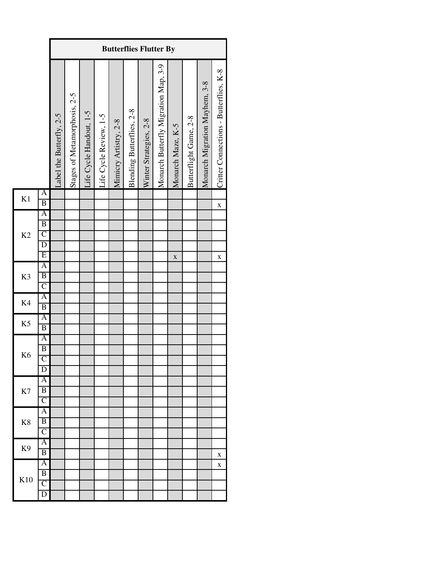|                |                                                                           |                          | <b>Butterflies Flutter By</b> |                         |                        |                       |                           |                        |                                      |                   |                        |                               |                                        |  |
|----------------|---------------------------------------------------------------------------|--------------------------|-------------------------------|-------------------------|------------------------|-----------------------|---------------------------|------------------------|--------------------------------------|-------------------|------------------------|-------------------------------|----------------------------------------|--|
|                |                                                                           | Label the Butterfly, 2-5 | Stages of Metamorphosis, 2-5  | Life Cycle Handout, 1-5 | Life Cycle Review, 1-5 | Mimicry Artistry, 2-8 | Blending Butterflies, 2-8 | Winter Strategies, 2-8 | Monarch Butterfly Migration Map, 3-9 | Monarch Maze, K-5 | Butterflight Game, 2-8 | Monarch Migration Mayhem, 3-8 | Critter Connections - Butterflies, K-8 |  |
| K1             | $\overline{\mathbf{A}}$<br>$\overline{B}$                                 |                          |                               |                         |                        |                       |                           |                        |                                      |                   |                        |                               | X                                      |  |
| K <sub>2</sub> | $\overline{A}$<br>$\overline{B}$<br>$\overline{C}$<br>$\overline{D}$<br>E |                          |                               |                         |                        |                       |                           |                        |                                      | $\bf{X}$          |                        |                               | X                                      |  |
| K3             | $\overline{A}$<br>$\overline{B}$<br>$\overline{C}$                        |                          |                               |                         |                        |                       |                           |                        |                                      |                   |                        |                               |                                        |  |
| K4             | A<br>$\overline{\mathbf{B}}$                                              |                          |                               |                         |                        |                       |                           |                        |                                      |                   |                        |                               |                                        |  |
| K <sub>5</sub> | A<br>$\overline{B}$                                                       |                          |                               |                         |                        |                       |                           |                        |                                      |                   |                        |                               |                                        |  |
| K <sub>6</sub> | $\mathbf{A}$<br>$\overline{B}$<br>$\mathsf{C}$<br>D                       |                          |                               |                         |                        |                       |                           |                        |                                      |                   |                        |                               |                                        |  |
| K7             | A<br>B<br>$\overline{\text{C}}$                                           |                          |                               |                         |                        |                       |                           |                        |                                      |                   |                        |                               |                                        |  |
| K8             | A<br>B<br>$\overline{\mathsf{C}}$                                         |                          |                               |                         |                        |                       |                           |                        |                                      |                   |                        |                               |                                        |  |
| K <sub>9</sub> | Α<br>B                                                                    |                          |                               |                         |                        |                       |                           |                        |                                      |                   |                        |                               | х                                      |  |
| K10            | Ā<br>B<br>$\overline{\rm C}$<br>D                                         |                          |                               |                         |                        |                       |                           |                        |                                      |                   |                        |                               | X                                      |  |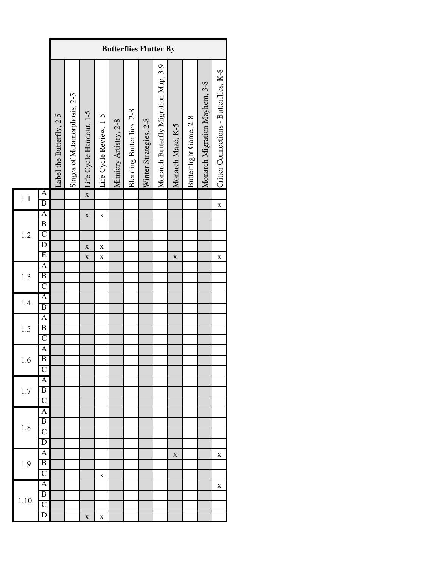|       |                                                                         |                          | <b>Butterflies Flutter By</b> |                                                  |                                                              |                       |                           |                        |                                      |                   |                        |                               |                                        |  |
|-------|-------------------------------------------------------------------------|--------------------------|-------------------------------|--------------------------------------------------|--------------------------------------------------------------|-----------------------|---------------------------|------------------------|--------------------------------------|-------------------|------------------------|-------------------------------|----------------------------------------|--|
|       |                                                                         | Label the Butterfly, 2-5 | Stages of Metamorphosis, 2-5  | Life Cycle Handout, 1-5                          | Life Cycle Review, 1-5                                       | Mimicry Artistry, 2-8 | Blending Butterflies, 2-8 | Winter Strategies, 2-8 | Monarch Butterfly Migration Map, 3-9 | Monarch Maze, K-5 | Butterflight Game, 2-8 | Monarch Migration Mayhem, 3-8 | Critter Connections - Butterflies, K-8 |  |
| 1.1   | $\overline{\mathbf{A}}$<br>$\overline{B}$                               |                          |                               | $\mathbf{\bar{X}}$                               |                                                              |                       |                           |                        |                                      |                   |                        |                               | $\bf{X}$                               |  |
| 1.2   | $\mathbf{A}$<br>$\overline{B}$<br>$\overline{C}$<br>$\overline{D}$<br>E |                          |                               | $\mathbf X$<br>$\mathbf X$<br>$\mathbf{\bar{X}}$ | $\mathbf{\bar{X}}$<br>$\mathbf X$<br>$\mathbf{\overline{X}}$ |                       |                           |                        |                                      | $\mathbf X$       |                        |                               | X                                      |  |
| 1.3   | A<br>$\overline{B}$<br>$\overline{C}$                                   |                          |                               |                                                  |                                                              |                       |                           |                        |                                      |                   |                        |                               |                                        |  |
| 1.4   | A<br>$\overline{B}$                                                     |                          |                               |                                                  |                                                              |                       |                           |                        |                                      |                   |                        |                               |                                        |  |
| 1.5   | A<br>$\overline{B}$<br>$\overline{C}$                                   |                          |                               |                                                  |                                                              |                       |                           |                        |                                      |                   |                        |                               |                                        |  |
| 1.6   | $\mathbf{A}$<br>$\overline{B}$<br>$\overline{\rm C}$                    |                          |                               |                                                  |                                                              |                       |                           |                        |                                      |                   |                        |                               |                                        |  |
| 1.7   | A<br>$\overline{B}$<br>$\overline{\text{C}}$                            |                          |                               |                                                  |                                                              |                       |                           |                        |                                      |                   |                        |                               |                                        |  |
| 1.8   | A<br>B<br>C<br>$\overline{\text{D}}$                                    |                          |                               |                                                  |                                                              |                       |                           |                        |                                      |                   |                        |                               |                                        |  |
| 1.9   | A<br>$\overline{B}$<br>$\overline{\text{C}}$                            |                          |                               |                                                  | $\mathbf X$                                                  |                       |                           |                        |                                      | $\mathbf X$       |                        |                               | X                                      |  |
| 1.10. | A<br>$\overline{B}$<br>$\overline{\mathsf{C}}$<br>D                     |                          |                               | $\mathbf X$                                      | X                                                            |                       |                           |                        |                                      |                   |                        |                               | X                                      |  |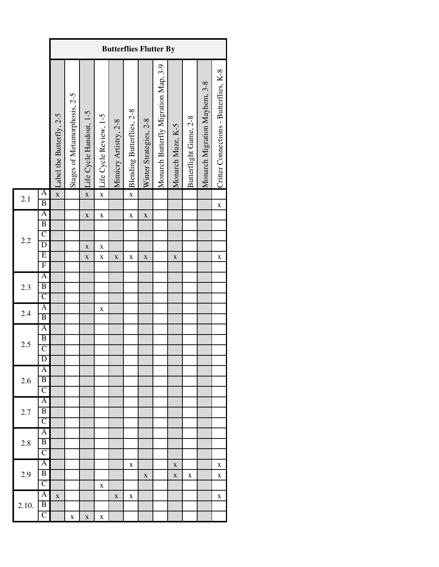|       |                                                                                                        |                          | <b>Butterflies Flutter By</b> |                                           |                                            |                       |                           |                            |                                      |                   |                        |                               |                                        |  |
|-------|--------------------------------------------------------------------------------------------------------|--------------------------|-------------------------------|-------------------------------------------|--------------------------------------------|-----------------------|---------------------------|----------------------------|--------------------------------------|-------------------|------------------------|-------------------------------|----------------------------------------|--|
|       |                                                                                                        | Label the Butterfly, 2-5 | Stages of Metamorphosis, 2-5  | Life Cycle Handout, 1-5                   | Life Cycle Review, 1-5                     | Mimicry Artistry, 2-8 | Blending Butterflies, 2-8 | Winter Strategies, 2-8     | Monarch Butterfly Migration Map, 3-9 | Monarch Maze, K-5 | Butterflight Game, 2-8 | Monarch Migration Mayhem, 3-8 | Critter Connections - Butterflies, K-8 |  |
| 2.1   | A<br>$\overline{B}$                                                                                    | $\mathbf{\bar{X}}$       |                               | $\mathbf{\bar{X}}$                        | $\mathbf{x}$                               |                       | $\mathbf{\bar{X}}$        |                            |                                      |                   |                        |                               | $\mathbf X$                            |  |
| 2.2   | $\mathbf{A}$<br>$\overline{B}$<br>$\overline{C}$<br>$\overline{D}$<br>$\overline{E}$<br>$\overline{F}$ |                          |                               | $\mathbf X$<br>$\mathbf X$<br>$\mathbf X$ | $\mathbf{\bar{X}}$<br>$\bf{X}$<br>$\bf{X}$ | $\mathbf X$           | $\bf{X}$<br>X             | $\mathbf X$<br>$\mathbf X$ |                                      | $\mathbf X$       |                        |                               | $\mathbf X$                            |  |
| 2.3   | A<br>$\overline{B}$<br>$\overline{C}$                                                                  |                          |                               |                                           |                                            |                       |                           |                            |                                      |                   |                        |                               |                                        |  |
| 2.4   | A<br>$\overline{B}$                                                                                    |                          |                               |                                           | $\bf{X}$                                   |                       |                           |                            |                                      |                   |                        |                               |                                        |  |
| 2.5   | $\overline{A}$<br>$\overline{B}$<br>$\overline{C}$<br>$\overline{\mathrm{D}}$                          |                          |                               |                                           |                                            |                       |                           |                            |                                      |                   |                        |                               |                                        |  |
| 2.6   | A<br>B<br>$\overline{\text{C}}$                                                                        |                          |                               |                                           |                                            |                       |                           |                            |                                      |                   |                        |                               |                                        |  |
| 2.7   | $\overline{\mathbf{A}}$<br>B<br>$\overline{\rm C}$                                                     |                          |                               |                                           |                                            |                       |                           |                            |                                      |                   |                        |                               |                                        |  |
| 2.8   | $\overline{\rm A}$<br>B<br>$\overline{\rm C}$                                                          |                          |                               |                                           |                                            |                       |                           |                            |                                      |                   |                        |                               |                                        |  |
| 2.9   | A<br>B<br>$\overline{\rm C}$                                                                           |                          |                               |                                           | X                                          |                       | X                         | $\mathbf X$                |                                      | X<br>$\mathbf X$  | X                      |                               | X<br>X                                 |  |
| 2.10. | $\overline{\mathbf{A}}$<br>$\overline{\mathbf{B}}$<br>$\overline{\rm C}$                               | $\mathbf X$              | X                             | $\mathbf X$                               | X                                          | $\mathbf X$           | X                         |                            |                                      |                   |                        |                               | X                                      |  |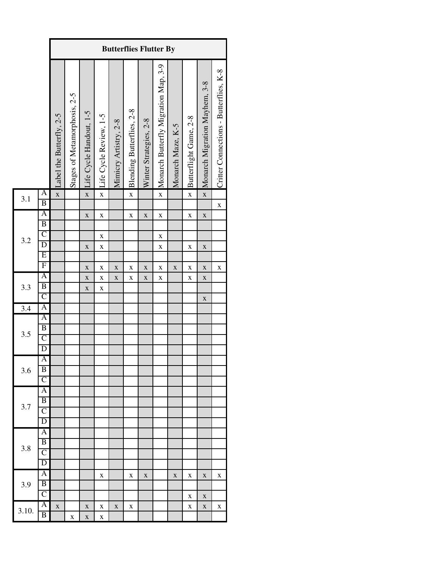|                  |                              |                          | <b>Butterflies Flutter By</b> |                         |                        |                       |                           |                        |                                      |                   |                        |                               |                                        |  |
|------------------|------------------------------|--------------------------|-------------------------------|-------------------------|------------------------|-----------------------|---------------------------|------------------------|--------------------------------------|-------------------|------------------------|-------------------------------|----------------------------------------|--|
|                  |                              | Label the Butterfly, 2-5 | Stages of Metamorphosis, 2-5  | Life Cycle Handout, 1-5 | Life Cycle Review, 1-5 | Mimicry Artistry, 2-8 | Blending Butterflies, 2-8 | Winter Strategies, 2-8 | Monarch Butterfly Migration Map, 3-9 | Monarch Maze, K-5 | Butterflight Game, 2-8 | Monarch Migration Mayhem, 3-8 | Critter Connections - Butterflies, K-8 |  |
| 3.1              | A<br>$\overline{B}$          | $\mathbf{\bar{X}}$       |                               | $\mathbf{\bar{X}}$      | $\mathbf{\bar{X}}$     |                       | $\mathbf X$               |                        | $\mathbf{\bar{X}}$                   |                   | $\mathbf{\bar{X}}$     | $\mathbf{\bar{X}}$            |                                        |  |
|                  | A                            |                          |                               | $\mathbf X$             | $\mathbf X$            |                       | $\bf{X}$                  | $\mathbf X$            | $\bf{X}$                             |                   | $\mathbf X$            | $\mathbf X$                   | $\bf{X}$                               |  |
|                  | $\overline{B}$               |                          |                               |                         |                        |                       |                           |                        |                                      |                   |                        |                               |                                        |  |
|                  | $\overline{C}$               |                          |                               |                         | $\bf{X}$               |                       |                           |                        | $\bf{X}$                             |                   |                        |                               |                                        |  |
| 3.2              | $\overline{\mathrm{D}}$      |                          |                               | $\mathbf X$             | $\bf{X}$               |                       |                           |                        | $\bf{X}$                             |                   | $\mathbf X$            | $\mathbf X$                   |                                        |  |
|                  | E                            |                          |                               |                         |                        |                       |                           |                        |                                      |                   |                        |                               |                                        |  |
|                  | $\overline{F}$               |                          |                               | $\mathbf X$             | $\bf{X}$               | $\mathbf X$           | $\mathbf X$               | $\mathbf X$            | $\mathbf X$                          | $\mathbf X$       | $\mathbf X$            | $\mathbf X$                   | X                                      |  |
|                  | A                            |                          |                               | $\mathbf X$             | $\bf{X}$               | $\mathbf X$           | $\mathbf X$               | $\mathbf X$            | $\bf{X}$                             |                   | $\mathbf X$            | $\mathbf X$                   |                                        |  |
| 3.3              | $\overline{B}$               |                          |                               | $\mathbf X$             | $\mathbf X$            |                       |                           |                        |                                      |                   |                        |                               |                                        |  |
|                  | $\overline{C}$               |                          |                               |                         |                        |                       |                           |                        |                                      |                   |                        | $\mathbf X$                   |                                        |  |
| $\overline{3.4}$ | A                            |                          |                               |                         |                        |                       |                           |                        |                                      |                   |                        |                               |                                        |  |
|                  | A                            |                          |                               |                         |                        |                       |                           |                        |                                      |                   |                        |                               |                                        |  |
|                  | $\overline{B}$               |                          |                               |                         |                        |                       |                           |                        |                                      |                   |                        |                               |                                        |  |
| 3.5              | $\overline{C}$               |                          |                               |                         |                        |                       |                           |                        |                                      |                   |                        |                               |                                        |  |
|                  | $\overline{D}$               |                          |                               |                         |                        |                       |                           |                        |                                      |                   |                        |                               |                                        |  |
|                  | A                            |                          |                               |                         |                        |                       |                           |                        |                                      |                   |                        |                               |                                        |  |
| 3.6              | B                            |                          |                               |                         |                        |                       |                           |                        |                                      |                   |                        |                               |                                        |  |
|                  | $\overline{\rm C}$           |                          |                               |                         |                        |                       |                           |                        |                                      |                   |                        |                               |                                        |  |
|                  | $\overline{\mathbf{A}}$      |                          |                               |                         |                        |                       |                           |                        |                                      |                   |                        |                               |                                        |  |
| 3.7              | $\overline{B}$               |                          |                               |                         |                        |                       |                           |                        |                                      |                   |                        |                               |                                        |  |
|                  | $\overline{\mathsf{C}}$      |                          |                               |                         |                        |                       |                           |                        |                                      |                   |                        |                               |                                        |  |
|                  | D                            |                          |                               |                         |                        |                       |                           |                        |                                      |                   |                        |                               |                                        |  |
|                  | $\overline{\mathbf{A}}$      |                          |                               |                         |                        |                       |                           |                        |                                      |                   |                        |                               |                                        |  |
| 3.8              | B                            |                          |                               |                         |                        |                       |                           |                        |                                      |                   |                        |                               |                                        |  |
|                  | $\overline{C}$               |                          |                               |                         |                        |                       |                           |                        |                                      |                   |                        |                               |                                        |  |
|                  | D                            |                          |                               |                         |                        |                       |                           |                        |                                      |                   |                        |                               |                                        |  |
|                  | $\overline{\mathbf{A}}$<br>B |                          |                               |                         | X                      |                       | X                         | $\mathbf X$            |                                      | X                 | X                      | $\mathbf X$                   | X                                      |  |
| 3.9              | $\overline{\text{C}}$        |                          |                               |                         |                        |                       |                           |                        |                                      |                   |                        |                               |                                        |  |
|                  | $\overline{\mathbf{A}}$      |                          |                               |                         |                        |                       |                           |                        |                                      |                   | X                      | $\mathbf X$                   |                                        |  |
| 3.10.            | B                            | $\mathbf X$              |                               | $\mathbf X$             | $\mathbf X$            | $\mathbf X$           | X                         |                        |                                      |                   | X                      | $\mathbf X$                   | X                                      |  |
|                  |                              |                          | X                             | $\mathbf X$             | X                      |                       |                           |                        |                                      |                   |                        |                               |                                        |  |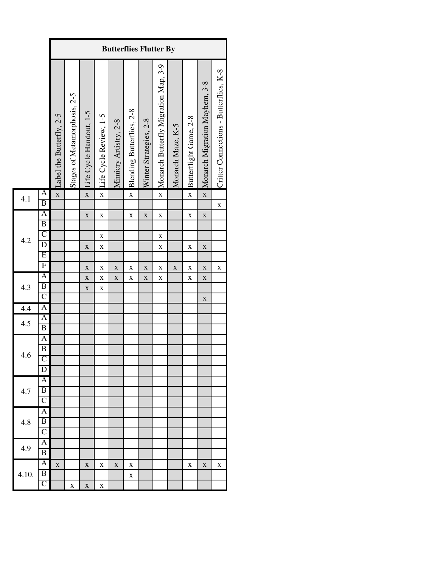|                          |                                                                                                                                                                       |                          | <b>Butterflies Flutter By</b> |                                                                   |                                                                               |                            |                                        |                                           |                                                      |                   |                        |                                                                         |                                        |  |
|--------------------------|-----------------------------------------------------------------------------------------------------------------------------------------------------------------------|--------------------------|-------------------------------|-------------------------------------------------------------------|-------------------------------------------------------------------------------|----------------------------|----------------------------------------|-------------------------------------------|------------------------------------------------------|-------------------|------------------------|-------------------------------------------------------------------------|----------------------------------------|--|
|                          |                                                                                                                                                                       | Label the Butterfly, 2-5 | Stages of Metamorphosis, 2-5  | Life Cycle Handout, 1-5                                           | Life Cycle Review, 1-5                                                        | Mimicry Artistry, 2-8      | Blending Butterflies, 2-8              | Winter Strategies, 2-8                    | Monarch Butterfly Migration Map, 3-9                 | Monarch Maze, K-5 | Butterflight Game, 2-8 | Monarch Migration Mayhem, 3-8                                           | Critter Connections - Butterflies, K-8 |  |
| 4.1                      | A<br>$\overline{B}$                                                                                                                                                   | $\bar{\mathbf{X}}$       |                               | $\mathbf X$                                                       | $\mathbf X$                                                                   |                            | $\mathbf{\bar{X}}$                     |                                           | $\mathbf{\bar{X}}$                                   |                   | $\mathbf{\bar{X}}$     | $\mathbf X$                                                             | X                                      |  |
| 4.2<br>4.3<br>4.4<br>4.5 | A<br>$\overline{B}$<br>$\overline{C}$<br>$\overline{D}$<br>$\overline{E}$<br>$\overline{F}$<br>A<br>$\overline{B}$<br>$\overline{C}$<br>A<br>A<br>$\overline{B}$<br>A |                          |                               | $\mathbf X$<br>$\mathbf X$<br>$\bf{X}$<br>$\bf{X}$<br>$\mathbf X$ | $\mathbf X$<br>$\mathbf X$<br>$\bf{X}$<br>$\bf{X}$<br>$\bf{X}$<br>$\mathbf X$ | $\mathbf X$<br>$\mathbf X$ | $\bf{X}$<br>$\mathbf X$<br>$\mathbf X$ | $\mathbf X$<br>$\mathbf X$<br>$\mathbf X$ | $\bf{X}$<br>$\bf{X}$<br>$\mathbf X$<br>X<br>$\bf{X}$ | $\mathbf X$       | X<br>X<br>X<br>X       | $\mathbf X$<br>$\mathbf X$<br>$\mathbf X$<br>$\mathbf X$<br>$\mathbf X$ | $\bf{X}$                               |  |
| 4.6<br>4.7               | $\overline{B}$<br>$\overline{\text{C}}$<br>D<br>A<br>B                                                                                                                |                          |                               |                                                                   |                                                                               |                            |                                        |                                           |                                                      |                   |                        |                                                                         |                                        |  |
| 4.8                      | $\overline{\rm C}$<br>A<br>B<br>$\overline{\mathsf{C}}$                                                                                                               |                          |                               |                                                                   |                                                                               |                            |                                        |                                           |                                                      |                   |                        |                                                                         |                                        |  |
| 4.9                      | Ā<br>B                                                                                                                                                                |                          |                               |                                                                   |                                                                               |                            |                                        |                                           |                                                      |                   |                        |                                                                         |                                        |  |
| 4.10.                    | A<br>B<br>$\overline{C}$                                                                                                                                              | X                        | X                             | X<br>$\mathbf X$                                                  | х<br>X                                                                        | X                          | X<br>X                                 |                                           |                                                      |                   | X                      | $\mathbf X$                                                             | X                                      |  |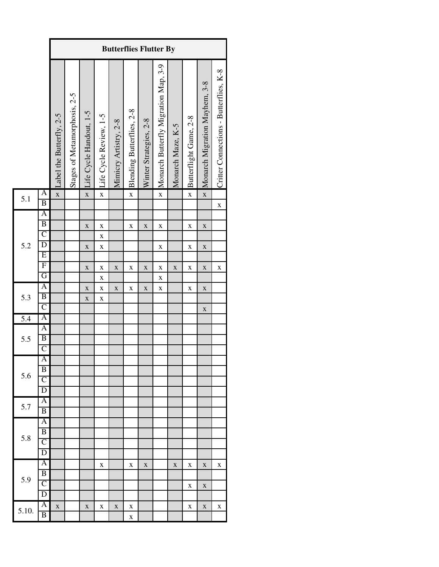|                  |                                                                                                                                           |                          | <b>Butterflies Flutter By</b> |                                                                         |                                                                                              |                            |                                           |                                           |                                                                      |                   |                                      |                                                          |                                        |  |
|------------------|-------------------------------------------------------------------------------------------------------------------------------------------|--------------------------|-------------------------------|-------------------------------------------------------------------------|----------------------------------------------------------------------------------------------|----------------------------|-------------------------------------------|-------------------------------------------|----------------------------------------------------------------------|-------------------|--------------------------------------|----------------------------------------------------------|----------------------------------------|--|
|                  |                                                                                                                                           | Label the Butterfly, 2-5 | Stages of Metamorphosis, 2-5  | Life Cycle Handout, 1-5                                                 | Life Cycle Review, 1-5                                                                       | Mimicry Artistry, 2-8      | Blending Butterflies, 2-8                 | Winter Strategies, 2-8                    | Monarch Butterfly Migration Map, 3-9                                 | Monarch Maze, K-5 | Butterflight Game, 2-8               | Monarch Migration Mayhem, 3-8                            | Critter Connections - Butterflies, K-8 |  |
| 5.1              | A<br>$\overline{B}$                                                                                                                       | $\mathbf{\bar{X}}$       |                               | $\mathbf{\bar{X}}$                                                      | $\mathbf{\bar{X}}$                                                                           |                            | $\mathbf X$                               |                                           | $\mathbf{\bar{X}}$                                                   |                   | $\mathbf{\bar{X}}$                   | $\mathbf{\bar{X}}$                                       | X                                      |  |
| 5.2<br>5.3       | $\mathbf{A}$<br>$\overline{B}$<br>$\overline{C}$<br>$\overline{\mathrm{D}}$<br>Ε<br>$\overline{F}$<br>G<br>$\mathbf{A}$<br>$\overline{B}$ |                          |                               | $\mathbf X$<br>$\mathbf X$<br>$\mathbf X$<br>$\mathbf X$<br>$\mathbf X$ | $\mathbf X$<br>$\mathbf X$<br>$\bf{X}$<br>$\bf{X}$<br>$\bf{X}$<br>$\mathbf X$<br>$\mathbf X$ | $\mathbf X$<br>$\mathbf X$ | $\mathbf X$<br>$\mathbf X$<br>$\mathbf X$ | $\mathbf X$<br>$\mathbf X$<br>$\mathbf X$ | $\mathbf X$<br>$\mathbf X$<br>$\mathbf X$<br>$\bf{X}$<br>$\mathbf X$ | $\mathbf X$       | $\mathbf X$<br>$\mathbf X$<br>X<br>X | $\mathbf X$<br>$\mathbf X$<br>$\mathbf X$<br>$\mathbf X$ | X                                      |  |
| $\overline{5.4}$ | $\overline{C}$<br>A                                                                                                                       |                          |                               |                                                                         |                                                                                              |                            |                                           |                                           |                                                                      |                   |                                      | $\mathbf X$                                              |                                        |  |
| 5.5              | A<br>$\overline{B}$<br>$\overline{C}$                                                                                                     |                          |                               |                                                                         |                                                                                              |                            |                                           |                                           |                                                                      |                   |                                      |                                                          |                                        |  |
| 5.6              | A<br>B<br>$\overline{\mathsf{C}}$<br>D                                                                                                    |                          |                               |                                                                         |                                                                                              |                            |                                           |                                           |                                                                      |                   |                                      |                                                          |                                        |  |
| 5.7              | Ā<br>B                                                                                                                                    |                          |                               |                                                                         |                                                                                              |                            |                                           |                                           |                                                                      |                   |                                      |                                                          |                                        |  |
| 5.8              | A<br>$\overline{\mathrm{B}}$<br>$\overline{\mathsf{C}}$<br>D                                                                              |                          |                               |                                                                         |                                                                                              |                            |                                           |                                           |                                                                      |                   |                                      |                                                          |                                        |  |
| 5.9              | A<br>B<br>$\overline{\text{C}}$<br>D                                                                                                      |                          |                               |                                                                         | X                                                                                            |                            | X                                         | X                                         |                                                                      | X                 | х<br>X                               | X<br>X                                                   | х                                      |  |
| 5.10.            | $\overline{\mathbf{A}}$<br>B                                                                                                              | $\overline{\mathbf{X}}$  |                               | $\mathbf X$                                                             | X                                                                                            | $\mathbf X$                | X<br>X                                    |                                           |                                                                      |                   | X                                    | $\mathbf X$                                              | X                                      |  |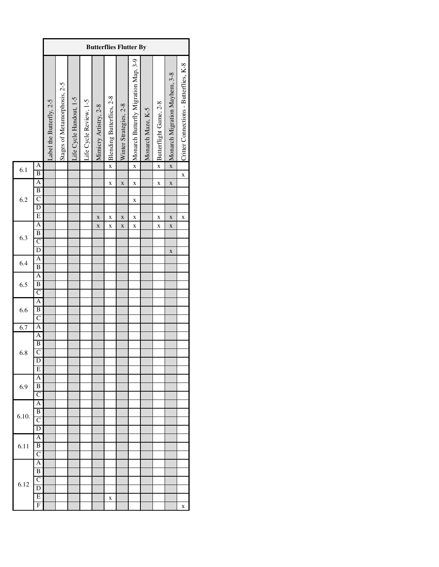|       |                                                                               |                          | <b>Butterflies Flutter By</b> |                         |                        |                       |                             |                        |                                        |                   |                         |                                 |                                        |
|-------|-------------------------------------------------------------------------------|--------------------------|-------------------------------|-------------------------|------------------------|-----------------------|-----------------------------|------------------------|----------------------------------------|-------------------|-------------------------|---------------------------------|----------------------------------------|
|       |                                                                               | Label the Butterfly, 2-5 | Stages of Metamorphosis, 2-5  | Life Cycle Handout, 1-5 | Life Cycle Review, 1-5 | Mimicry Artistry, 2-8 | × Blending Butterflies, 2-8 | Winter Strategies, 2-8 | × Monarch Butterfly Migration Map, 3-9 | Monarch Maze, K-5 | Butterflight Game, 2-8  | × Monarch Migration Mayhem, 3-8 | Critter Connections - Butterflies, K-8 |
| 6.1   | A<br>$\overline{B}$                                                           |                          |                               |                         |                        |                       |                             |                        |                                        |                   | $\overline{\mathbf{x}}$ |                                 | $\mathbf x$                            |
| 6.2   | $\mathbf{A}$<br>$\overline{B}$<br>$\overline{C}$<br>$\frac{D}{E}$             |                          |                               |                         |                        |                       | X                           | X                      | X<br>X                                 |                   | X                       | X                               |                                        |
| 6.3   | $\overline{A}$<br>$\overline{B}$<br>$\overline{C}$<br>$\overline{\mathbf{D}}$ |                          |                               |                         |                        | X<br>X                | X<br>X                      | X<br>$\mathbf x$       | X<br>X                                 |                   | X<br>X                  | X<br>X                          | X                                      |
| 6.4   | A<br>$\overline{B}$                                                           |                          |                               |                         |                        |                       |                             |                        |                                        |                   |                         | X                               |                                        |
| 6.5   | A<br>$\overline{B}$<br>$\overline{C}$                                         |                          |                               |                         |                        |                       |                             |                        |                                        |                   |                         |                                 |                                        |
| 6.6   | $\overline{A}$<br>$\overline{B}$<br>$\overline{C}$                            |                          |                               |                         |                        |                       |                             |                        |                                        |                   |                         |                                 |                                        |
| 6.7   | A                                                                             |                          |                               |                         |                        |                       |                             |                        |                                        |                   |                         |                                 |                                        |
| 6.8   | $\overline{A}$<br>$\overline{B}$<br>$\overline{C}$<br>D<br>E                  |                          |                               |                         |                        |                       |                             |                        |                                        |                   |                         |                                 |                                        |
| 6.9   | A<br>B<br>$\overline{C}$                                                      |                          |                               |                         |                        |                       |                             |                        |                                        |                   |                         |                                 |                                        |
| 6.10. | A<br>$\overline{B}$<br>$\overline{\rm c}$<br>$\overline{\text{D}}$            |                          |                               |                         |                        |                       |                             |                        |                                        |                   |                         |                                 |                                        |
| 6.11  | A<br>$\overline{B}$<br>$\mathcal{C}$                                          |                          |                               |                         |                        |                       |                             |                        |                                        |                   |                         |                                 |                                        |
| 6.12  | A<br>B<br>$\mathcal{C}$<br>D                                                  |                          |                               |                         |                        |                       |                             |                        |                                        |                   |                         |                                 |                                        |
|       | E<br>F                                                                        |                          |                               |                         |                        |                       | X                           |                        |                                        |                   |                         |                                 | X                                      |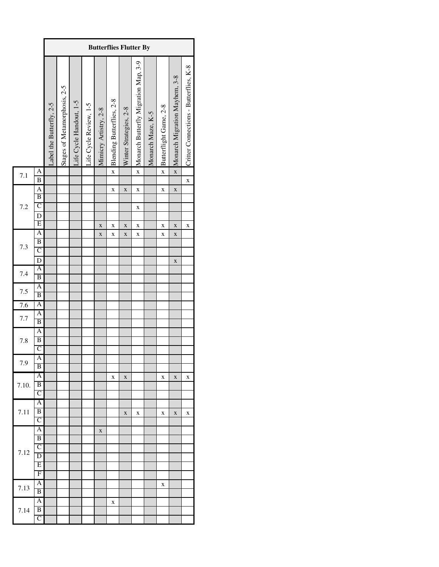|       |                                  |                         | <b>Butterflies Flutter By</b> |                         |                        |                       |                           |                        |                                      |                   |                         |                               |                                        |
|-------|----------------------------------|-------------------------|-------------------------------|-------------------------|------------------------|-----------------------|---------------------------|------------------------|--------------------------------------|-------------------|-------------------------|-------------------------------|----------------------------------------|
|       |                                  | abel the Butterfly, 2-5 | Stages of Metamorphosis, 2-5  | Life Cycle Handout, 1-5 | life Cycle Review, 1-5 | Mimicry Artistry, 2-8 | Blending Butterflies, 2-8 | Winter Strategies, 2-8 | Monarch Butterfly Migration Map, 3-9 | Monarch Maze, K-5 | Butterflight Game, 2-8  | Monarch Migration Mayhem, 3-8 | Critter Connections - Butterflies, K-8 |
| 7.1   | A                                |                         |                               |                         |                        |                       | $\overline{\mathbf{x}}$   |                        | $\overline{\mathbf{x}}$              |                   | $\overline{\mathbf{x}}$ |                               |                                        |
|       | $\overline{B}$<br>$\overline{A}$ |                         |                               |                         |                        |                       | $\mathbf x$               | $\mathbf x$            | X                                    |                   | X                       | $\mathbf X$                   | $\mathbf{x}$                           |
|       | $\overline{B}$                   |                         |                               |                         |                        |                       |                           |                        |                                      |                   |                         |                               |                                        |
| 7.2   | $\overline{C}$                   |                         |                               |                         |                        |                       |                           |                        | X                                    |                   |                         |                               |                                        |
|       | $\mathbf D$                      |                         |                               |                         |                        |                       |                           |                        |                                      |                   |                         |                               |                                        |
|       | $\overline{E}$                   |                         |                               |                         |                        | $\bf{X}$              | X                         | $\bf{X}$               | X                                    |                   | X                       | $\mathbf{x}$                  | X                                      |
|       | $\mathbf{A}$                     |                         |                               |                         |                        | $\mathbf X$           | X                         | X                      | X                                    |                   | X                       | X                             |                                        |
|       | $\overline{B}$                   |                         |                               |                         |                        |                       |                           |                        |                                      |                   |                         |                               |                                        |
| 7.3   | $\mathsf{C}$                     |                         |                               |                         |                        |                       |                           |                        |                                      |                   |                         |                               |                                        |
|       | $\mathbf D$                      |                         |                               |                         |                        |                       |                           |                        |                                      |                   |                         | $\mathbf X$                   |                                        |
| 7.4   | A                                |                         |                               |                         |                        |                       |                           |                        |                                      |                   |                         |                               |                                        |
|       | B                                |                         |                               |                         |                        |                       |                           |                        |                                      |                   |                         |                               |                                        |
| 7.5   | A                                |                         |                               |                         |                        |                       |                           |                        |                                      |                   |                         |                               |                                        |
|       | B                                |                         |                               |                         |                        |                       |                           |                        |                                      |                   |                         |                               |                                        |
| 7.6   | A                                |                         |                               |                         |                        |                       |                           |                        |                                      |                   |                         |                               |                                        |
| 7.7   | A<br>B                           |                         |                               |                         |                        |                       |                           |                        |                                      |                   |                         |                               |                                        |
|       | $\overline{A}$                   |                         |                               |                         |                        |                       |                           |                        |                                      |                   |                         |                               |                                        |
| 7.8   | $\overline{B}$                   |                         |                               |                         |                        |                       |                           |                        |                                      |                   |                         |                               |                                        |
|       | $\mathcal{C}$                    |                         |                               |                         |                        |                       |                           |                        |                                      |                   |                         |                               |                                        |
|       | A                                |                         |                               |                         |                        |                       |                           |                        |                                      |                   |                         |                               |                                        |
| 7.9   | B                                |                         |                               |                         |                        |                       |                           |                        |                                      |                   |                         |                               |                                        |
|       | A                                |                         |                               |                         |                        |                       | X                         | X                      |                                      |                   | X                       | X                             | X                                      |
| 7.10. | $\overline{B}$                   |                         |                               |                         |                        |                       |                           |                        |                                      |                   |                         |                               |                                        |
|       | $\overline{\mathsf{C}}$          |                         |                               |                         |                        |                       |                           |                        |                                      |                   |                         |                               |                                        |
|       | $\overline{A}$                   |                         |                               |                         |                        |                       |                           |                        |                                      |                   |                         |                               |                                        |
| 7.11  | B                                |                         |                               |                         |                        |                       |                           | X                      | X                                    |                   | X                       | X                             | X                                      |
|       | $\overline{\mathsf{C}}$          |                         |                               |                         |                        |                       |                           |                        |                                      |                   |                         |                               |                                        |
|       | Α                                |                         |                               |                         |                        | X                     |                           |                        |                                      |                   |                         |                               |                                        |
|       | B                                |                         |                               |                         |                        |                       |                           |                        |                                      |                   |                         |                               |                                        |
| 7.12  | $\overline{C}$                   |                         |                               |                         |                        |                       |                           |                        |                                      |                   |                         |                               |                                        |
|       | D                                |                         |                               |                         |                        |                       |                           |                        |                                      |                   |                         |                               |                                        |
|       | Ε                                |                         |                               |                         |                        |                       |                           |                        |                                      |                   |                         |                               |                                        |
|       | F                                |                         |                               |                         |                        |                       |                           |                        |                                      |                   |                         |                               |                                        |
| 7.13  | A<br>$\overline{B}$              |                         |                               |                         |                        |                       |                           |                        |                                      |                   | X                       |                               |                                        |
|       | A                                |                         |                               |                         |                        |                       |                           |                        |                                      |                   |                         |                               |                                        |
| 7.14  | $\overline{B}$                   |                         |                               |                         |                        |                       | X                         |                        |                                      |                   |                         |                               |                                        |
|       | $\overline{C}$                   |                         |                               |                         |                        |                       |                           |                        |                                      |                   |                         |                               |                                        |
|       |                                  |                         |                               |                         |                        |                       |                           |                        |                                      |                   |                         |                               |                                        |